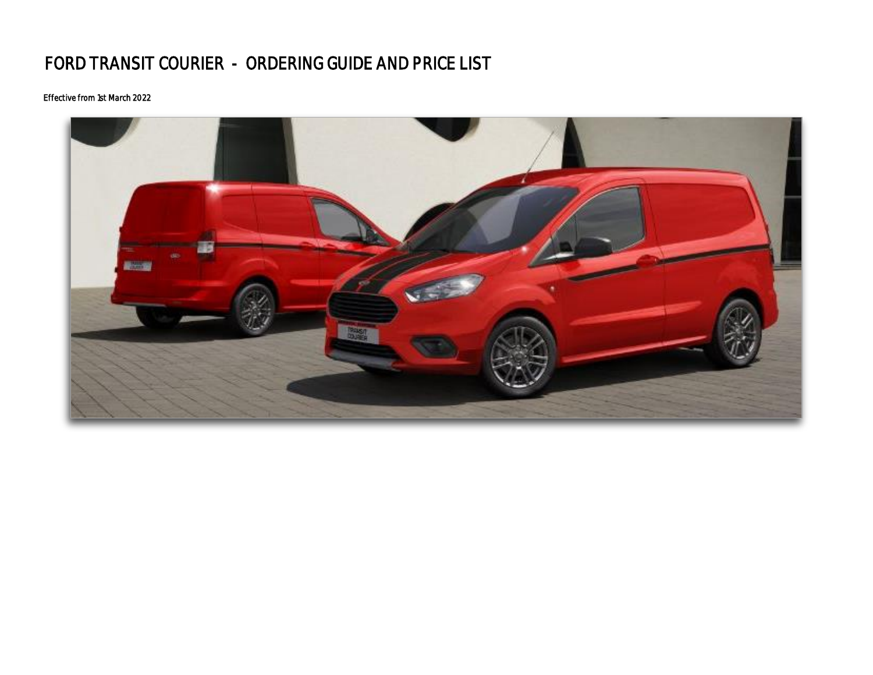# FORD TRANSIT COURIER - ORDERING GUIDE AND PRICE LIST

### Effective from 1st March 2022

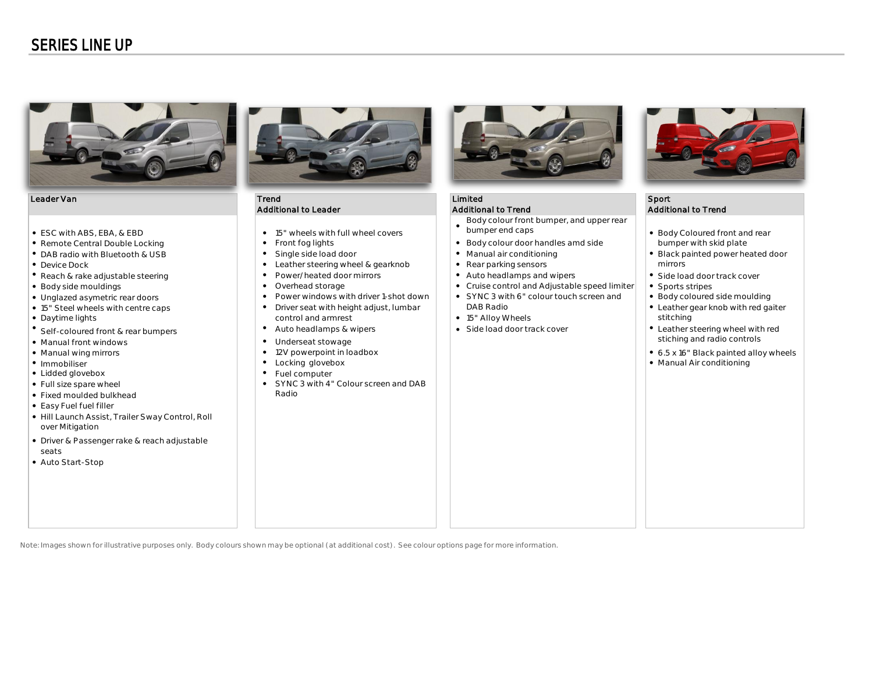### SERIES LINE UP



#### Leader Van Trend Die Einstein (1986) is de Sport andere Sport in die Sport van die Sport van die Sport van die

- 
- 
- DAB radio with Bluetooth & USB **by Case Conditioning •** Single side load door **Manual air conditioning**
- 
- 
- 
- 
- 
- Daytime lights **15" Allow Wheels** Allow Wheels Allow Wheels Allow Wheels Allow Wheels Allow Wheels Allow Wheels
- Self-coloured front & rear bumpers  $\|\cdot\|$  Auto headlamps & wipers  $\|\cdot\|$  Side load door track cover
- Manual front windows  $\qquad \qquad$
- 
- 
- Lidded glovebox
- Full size spare wheel  $\bullet$
- Fixed moulded bulkhead
- Easy Fuel fuel filler
- Hill Launch Assist, Trailer Sway Control, Roll over Mitigation
- Driver & Passenger rake & reach adjustable seats
- Auto Start-Stop



### Additional to Leader **Additional to Trend Additional to Trend Additional to Trend** Additional to Trend

- ESC with ABS, EBA, & EBD <br>● 15" wheels with full wheel covers
	-
	-
- Device Dock **Device Dock Rear parking sensors Rear parking sensors Service Dock** mirrors **notice that is a set of the steering wheel & gearknob <b>c** and a set of mirrors **of the steering wheel & gearknob c** and
- Reach & rake adjustable steering **Automake adjustable steering and allow i** Auto headlamps and wipers **Side load door track cover** Power/heated door mirrors
	- Overhead storage
- Unglazed asymetric rear doors entity and by the Power windows with driver 1-shot down | | SYNC 3 with 6" colour touch screen and | | Body coloured side moulding Power windows with driver 1-shot down
- 15" Steel wheels with centre caps  $\begin{array}{|c|c|c|}\hline \end{array}$  Priver seat with height adjust, lumbar  $\begin{array}{|c|c|c|}\hline \end{array}$  DAB Radio  $\begin{array}{|c|c|c|}\hline \end{array}$ 
	-
	-
	-
	- 12V powerpoint in loadbox
	- Locking glovebox
	- Fuel computer
	- SYNC 3 with 4" Colour screen and DAB Radio



- Body colour front bumper, and upper rear
- $\bullet$ bumper end caps
- Remote Central Double Locking Body colour door handles amd side bumper with skid plate
	-
	-
	-
- Body side mouldings **but all increases and Cruise control and Adjustable speed limiter increases in the Sports stripes** 
	-
	- 15" Alloy Wheels stitching
	-



- Body Coloured front and rear
- Black painted power heated door
- 
- 
- 
- Leather gear knob with red gaiter
- $\bullet$  Leather steering wheel with red Underseat stowage sticking and radio controls and radio controls of the sticking and radio controls
- Manual wing mirrors example the state of the state of the state of the state of the state of the state of the state of the state of the state of the state of the state of the state of the state of the state of the state
- Immobiliser **Manual Air conditioning •** Locking glovebox **1999** Locking by Locking and Locking structure and Locking and Locking structure and Locking and Locking structure and Locking structure and Locking structure a

Note: Images shown for illustrative purposes only. Body colours shown may be optional (at additional cost). See colour options page for more information.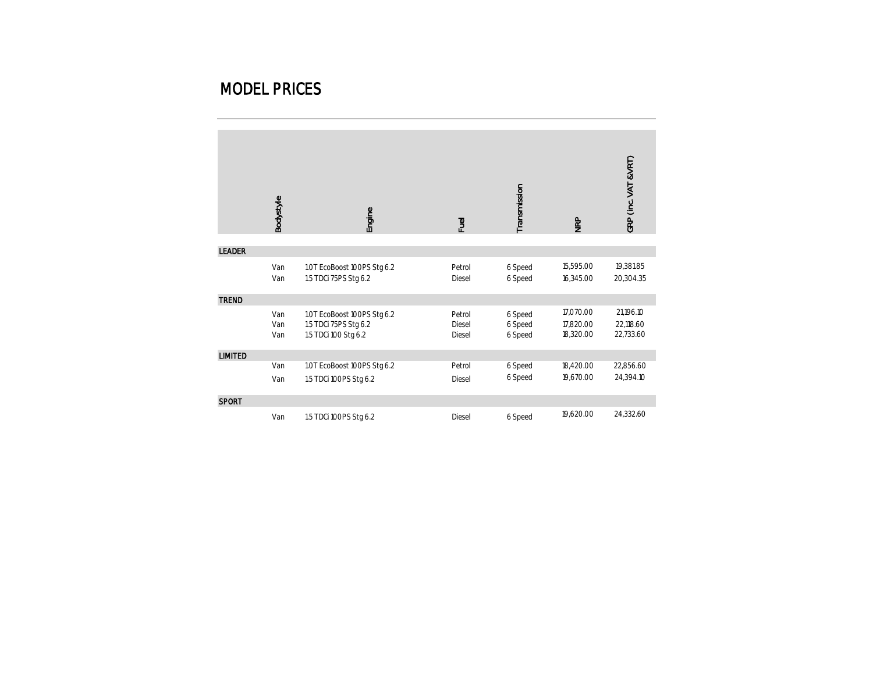### MODEL PRICES

|                | Bodystyle         | Engine                                                                       | Fuel                       | Transmission                  | <b>NRP</b>                          | GRP (Inc. VAT &VRT)                 |
|----------------|-------------------|------------------------------------------------------------------------------|----------------------------|-------------------------------|-------------------------------------|-------------------------------------|
| <b>LEADER</b>  |                   |                                                                              |                            |                               |                                     |                                     |
|                | Van<br>Van        | 1.0T EcoBoost 100PS Stg 6.2<br>1.5 TDCi 75PS Stg 6.2                         | Petrol<br>Diesel           | 6 Speed<br>6 Speed            | 15,595.00<br>16,345.00              | 19,381.85<br>20,304.35              |
| <b>TREND</b>   |                   |                                                                              |                            |                               |                                     |                                     |
|                | Van<br>Van<br>Van | 1.0T EcoBoost 100PS Stg 6.2<br>1.5 TDCi 75PS Stg 6.2<br>1.5 TDCi 100 Stg 6.2 | Petrol<br>Diesel<br>Diesel | 6 Speed<br>6 Speed<br>6 Speed | 17,070.00<br>17,820.00<br>18,320.00 | 21,196.10<br>22,118.60<br>22,733.60 |
| <b>LIMITED</b> |                   |                                                                              |                            |                               |                                     |                                     |
|                | Van               | 1.0T EcoBoost 100PS Stg 6.2                                                  | Petrol                     | 6 Speed                       | 18,420.00                           | 22,856.60                           |
|                | Van               | 1.5 TDCi 100PS Stg 6.2                                                       | Diesel                     | 6 Speed                       | 19,670.00                           | 24,394.10                           |
| <b>SPORT</b>   |                   |                                                                              |                            |                               |                                     |                                     |
|                | Van               | 1.5 TDCi 100PS Stg 6.2                                                       | Diesel                     | 6 Speed                       | 19,620.00                           | 24,332.60                           |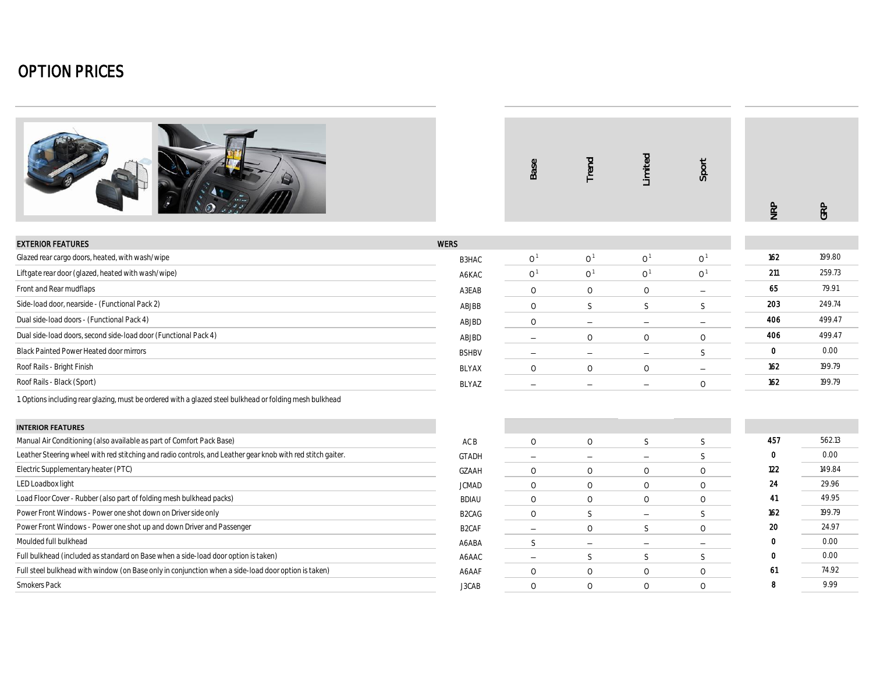|                                                                                                             |                                | Base                     | Trend                    | Limited                  | Sport                          | NRP         | GRP    |
|-------------------------------------------------------------------------------------------------------------|--------------------------------|--------------------------|--------------------------|--------------------------|--------------------------------|-------------|--------|
| <b>EXTERIOR FEATURES</b>                                                                                    | <b>WERS</b>                    |                          |                          |                          |                                |             |        |
| Glazed rear cargo doors, heated, with wash/wipe                                                             | B3HAC                          | 0 <sup>1</sup>           | 0 <sup>1</sup>           | 0 <sup>1</sup>           | 0 <sup>1</sup>                 | 162         | 199.80 |
| Liftgate rear door (glazed, heated with wash/wipe)                                                          | A6KAC                          | 0 <sup>1</sup>           | 0 <sup>1</sup>           | 0 <sup>1</sup>           | $\Omega$ <sup>1</sup>          | 211         | 259.73 |
| Front and Rear mudflaps                                                                                     |                                | $\circ$                  | $\circ$                  | $\circ$                  |                                | 65          | 79.91  |
| Side-load door, nearside - (Functional Pack 2)                                                              | A3EAB                          | $\circ$                  |                          |                          | $\overline{\phantom{a}}$<br>S. | 203         | 249.74 |
| Dual side-load doors - (Functional Pack 4)                                                                  | ABJBB                          |                          | S                        | S                        |                                | 406         | 499.47 |
|                                                                                                             | ABJBD                          | $\circ$                  | $\equiv$                 | $\overline{\phantom{m}}$ | $\overline{\phantom{a}}$       | 406         | 499.47 |
| Dual side-load doors, second side-load door (Functional Pack 4)                                             | ABJBD                          | $\overline{\phantom{a}}$ | $\circ$                  | $\circ$                  | $\circ$                        |             |        |
| <b>Black Painted Power Heated door mirrors</b>                                                              | <b>BSHBV</b>                   | $\overline{\phantom{a}}$ | $\overline{\phantom{a}}$ | $\overline{\phantom{m}}$ | <sub>S</sub>                   | 0           | 0.00   |
| Roof Rails - Bright Finish                                                                                  | <b>BLYAX</b>                   | $\circ$                  | $\circ$                  | $\circ$                  | $\overline{\phantom{m}}$       | 162         | 199.79 |
| Roof Rails - Black (Sport)                                                                                  | BLYAZ                          | $\overline{\phantom{a}}$ | $\equiv$                 | $\overline{\phantom{m}}$ | $\circ$                        | 162         | 199.79 |
| 1. Options including rear glazing, must be ordered with a glazed steel bulkhead or folding mesh bulkhead    |                                |                          |                          |                          |                                |             |        |
| <b>INTERIOR FEATURES</b>                                                                                    |                                |                          |                          |                          |                                |             |        |
| Manual Air Conditioning (also available as part of Comfort Pack Base)                                       | AC B                           | $\circ$                  | $\circ$                  | S                        | S                              | 457         | 562.13 |
| Leather Steering wheel with red stitching and radio controls, and Leather gear knob with red stitch gaiter. | <b>GTADH</b>                   | $\overline{\phantom{m}}$ | $\overline{\phantom{m}}$ | $\overline{\phantom{m}}$ | S                              | $\mathbf 0$ | 0.00   |
| Electric Supplementary heater (PTC)                                                                         | GZAAH                          | $\circ$                  | $\circ$                  | $\circ$                  | $\circ$                        | 122         | 149.84 |
| LED Loadbox light                                                                                           | <b>JCMAD</b>                   | $\circ$                  | $\circ$                  | $\circ$                  | $\circ$                        | 24          | 29.96  |
| Load Floor Cover - Rubber (also part of folding mesh bulkhead packs)                                        | <b>BDIAU</b>                   | $\circ$                  | $\circ$                  | $\circ$                  | $\circ$                        | 41          | 49.95  |
| Power Front Windows - Power one shot down on Driver side only                                               | B <sub>2</sub> CA <sub>G</sub> | $\circ$                  | S                        | $\overline{\phantom{m}}$ | S                              | 162         | 199.79 |
| Power Front Windows - Power one shot up and down Driver and Passenger                                       | B <sub>2</sub> CAF             | $\overline{\phantom{a}}$ | $\circ$                  | S                        | $\Omega$                       | 20          | 24.97  |
| Moulded full bulkhead                                                                                       | A6ABA                          | S                        | $\overline{\phantom{a}}$ | $\overline{\phantom{0}}$ | $\overline{\phantom{0}}$       | $\mathbf 0$ | 0.00   |
| Full bulkhead (included as standard on Base when a side-load door option is taken)                          | A6AAC                          | $\qquad \qquad -$        | S                        | S                        | S                              | $\mathbf 0$ | 0.00   |
| Full steel bulkhead with window (on Base only in conjunction when a side-load door option is taken)         | A6AAF                          | $\circ$                  | $\circ$                  | $\circlearrowright$      | $\circ$                        | 61          | 74.92  |
| Smokers Pack                                                                                                | J3CAB                          | $\circ$                  | $\circ$                  | $\circ$                  | $\circ$                        | 8           | 9.99   |
|                                                                                                             |                                |                          |                          |                          |                                |             |        |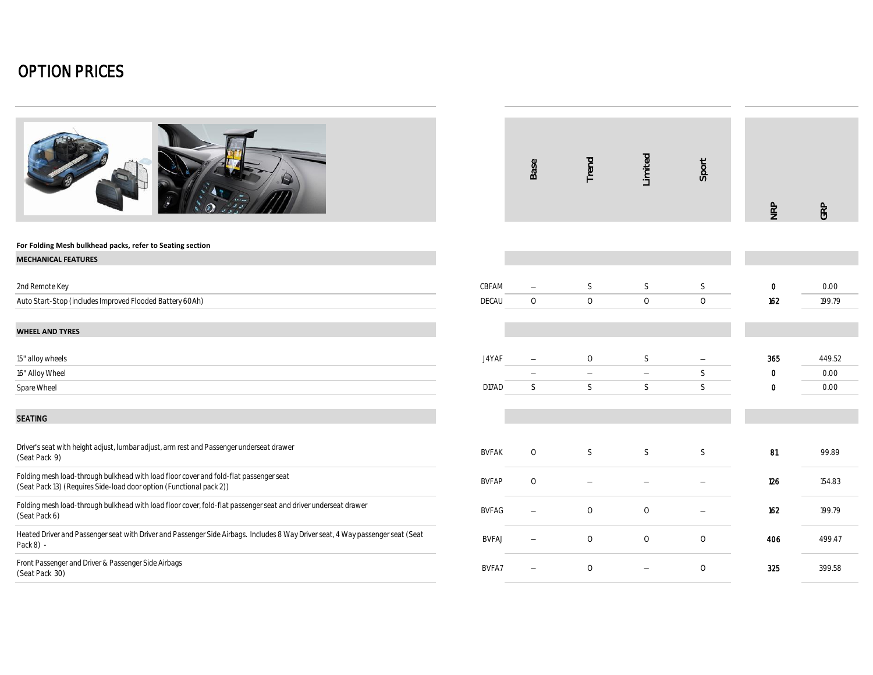|                                                                                                                                                              |              | Base                     | Trend                    | Limited             | Sport        | NRP      | GRP            |
|--------------------------------------------------------------------------------------------------------------------------------------------------------------|--------------|--------------------------|--------------------------|---------------------|--------------|----------|----------------|
| For Folding Mesh bulkhead packs, refer to Seating section                                                                                                    |              |                          |                          |                     |              |          |                |
| <b>MECHANICAL FEATURES</b>                                                                                                                                   |              |                          |                          |                     |              |          |                |
|                                                                                                                                                              | CBFAM        |                          |                          |                     |              |          |                |
| 2nd Remote Key                                                                                                                                               | DECAU        | $\circ$                  | S<br>$\circ$             | S<br>$\circ$        | S<br>$\circ$ | 0<br>162 | 0.00<br>199.79 |
| Auto Start-Stop (includes Improved Flooded Battery 60Ah)                                                                                                     |              |                          |                          |                     |              |          |                |
| <b>WHEEL AND TYRES</b>                                                                                                                                       |              |                          |                          |                     |              |          |                |
| 15" alloy wheels                                                                                                                                             | J4YAF        |                          | $\circ$                  | $\mathsf S$         | -            | 365      | 449.52         |
| 16" Alloy Wheel                                                                                                                                              |              | $\overline{\phantom{0}}$ | $\overline{\phantom{m}}$ | $\qquad \qquad -$   | $\mathsf S$  | 0        | 0.00           |
| Spare Wheel                                                                                                                                                  | D17AD        | S                        | S                        | S                   | S            | 0        | 0.00           |
| <b>SEATING</b>                                                                                                                                               |              |                          |                          |                     |              |          |                |
| Driver's seat with height adjust, lumbar adjust, arm rest and Passenger underseat drawer<br>(Seat Pack 9)                                                    | <b>BVFAK</b> | $\circ$                  | S                        | S                   | S            | 81       | 99.89          |
| Folding mesh load-through bulkhead with load floor cover and fold-flat passenger seat<br>(Seat Pack 13) (Requires Side-load door option (Functional pack 2)) | <b>BVFAP</b> | $\circ$                  |                          |                     |              | 126      | 154.83         |
| Folding mesh load-through bulkhead with load floor cover, fold-flat passenger seat and driver underseat drawer<br>(Seat Pack 6)                              | <b>BVFAG</b> |                          | $\circ$                  | $\circ$             |              | 162      | 199.79         |
| Heated Driver and Passenger seat with Driver and Passenger Side Airbags. Includes 8 Way Driver seat, 4 Way passenger seat (Seat<br>Pack 8) -                 | <b>BVFAJ</b> |                          | $\circlearrowright$      | $\circlearrowright$ | $\circ$      | 406      | 499.47         |
| Front Passenger and Driver & Passenger Side Airbags<br>(Seat Pack 30)                                                                                        | BVFA7        |                          | $\circ$                  |                     | $\circ$      | 325      | 399.58         |
|                                                                                                                                                              |              |                          |                          |                     |              |          |                |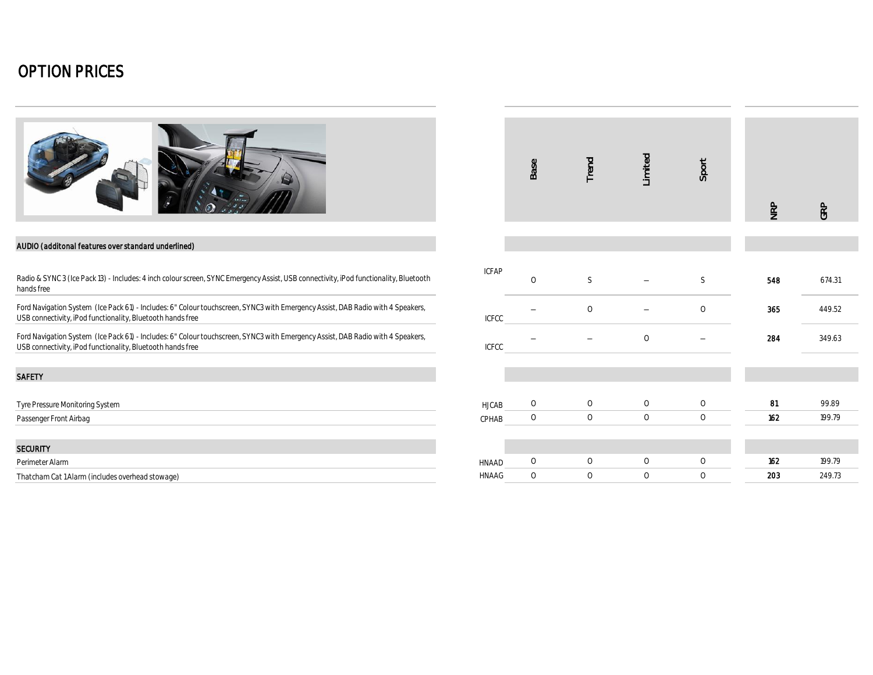

#### AUDIO (additonal features over standard underlined)

#### SAFETY

| <b>SECURITY</b>                                  |              |  |  |     |        |
|--------------------------------------------------|--------------|--|--|-----|--------|
| Perimeter Alarm                                  | HNAAD        |  |  | 162 | 199.79 |
| Thatcham Cat 1 Alarm (includes overhead stowage) | <b>HNAAG</b> |  |  | 203 | 249.73 |

|                                                                                                                                                                                               |                       | Base    | Trend   | Limited | Sport   | NRP | GRP    |
|-----------------------------------------------------------------------------------------------------------------------------------------------------------------------------------------------|-----------------------|---------|---------|---------|---------|-----|--------|
| AUDIO (additonal features over standard underlined)                                                                                                                                           |                       |         |         |         |         |     |        |
| Radio & SYNC 3 (Ice Pack 13) - Includes: 4 inch colour screen, SYNC Emergency Assist, USB connectivity, iPod functionality, Bluetooth<br>hands free                                           | <b>ICFAP</b>          | $\circ$ | S       |         | S       | 548 | 674.31 |
| Ford Navigation System (Ice Pack 61) - Includes: 6" Colour touchscreen, SYNC3 with Emergency Assist, DAB Radio with 4 Speakers,<br>USB connectivity, iPod functionality, Bluetooth hands free | <b>ICFCC</b>          |         | $\circ$ |         | $\circ$ | 365 | 449.52 |
| Ford Navigation System (Ice Pack 61) - Includes: 6" Colour touchscreen, SYNC3 with Emergency Assist, DAB Radio with 4 Speakers,<br>USB connectivity, iPod functionality, Bluetooth hands free | <b>ICFCC</b>          |         |         | $\circ$ |         | 284 | 349.63 |
| <b>SAFETY</b>                                                                                                                                                                                 |                       |         |         |         |         |     |        |
| Tyre Pressure Monitoring System                                                                                                                                                               | <b>HJCAB</b>          | $\circ$ | $\circ$ | $\circ$ | $\circ$ | 81  | 99.89  |
| Passenger Front Airbag                                                                                                                                                                        | CPHAB                 | $\circ$ | $\circ$ | $\circ$ | $\circ$ | 162 | 199.79 |
|                                                                                                                                                                                               |                       |         |         |         |         |     |        |
| Security<br>Perimeter Alarm                                                                                                                                                                   |                       | $\circ$ | $\circ$ | $\circ$ | $\circ$ | 162 | 199.79 |
| Thatcham Cat 1 Alarm (includes overhead stowage)                                                                                                                                              | <b>HNAAD</b><br>HNAAG | $\circ$ | $\circ$ | $\circ$ | 0       | 203 | 249.73 |
|                                                                                                                                                                                               |                       |         |         |         |         |     |        |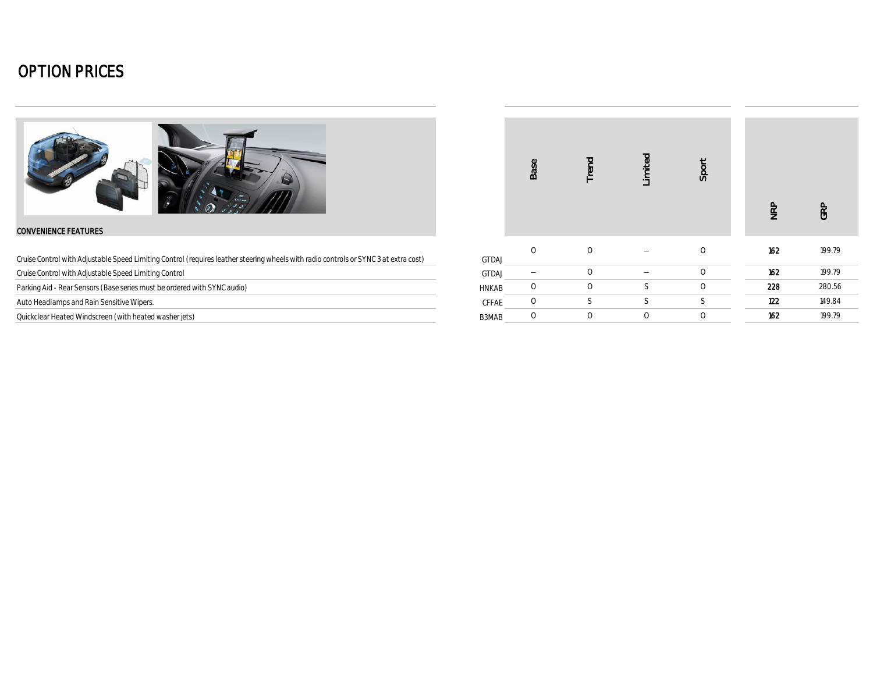

#### CONVENIENCE FEATURES

| Cruise Control with Adjustable Speed Limiting Control (requires leather steering wheels with radio controls or SYNC 3 at extra cost) | GTDAJ |
|--------------------------------------------------------------------------------------------------------------------------------------|-------|
|--------------------------------------------------------------------------------------------------------------------------------------|-------|

Cruise Control with Adjustable Speed Limiting Control

Parking Aid - Rear Sensors (Base series must be ordered with SYNC audio)

Auto Headlamps and Rain Sensitive Wipers.

Quickclear Heated Windscreen (with heated washer jets)

|              | Base     | Trend          | Limited | Sport   | <b>NRP</b> | GRP    |
|--------------|----------|----------------|---------|---------|------------|--------|
| <b>GTDAJ</b> | $\Omega$ | $\circ$        |         | $\circ$ | 162        | 199.79 |
| GTDAJ        |          | $\circledcirc$ |         | $\circ$ | 162        | 199.79 |
| <b>HNKAB</b> | $\circ$  | $\circ$        | S       | $\circ$ | 228        | 280.56 |
| CFFAE        | $\circ$  | S              | S       | S       | 122        | 149.84 |
| B3MAB        | $\circ$  | $\circ$        | $\circ$ | $\circ$ | 162        | 199.79 |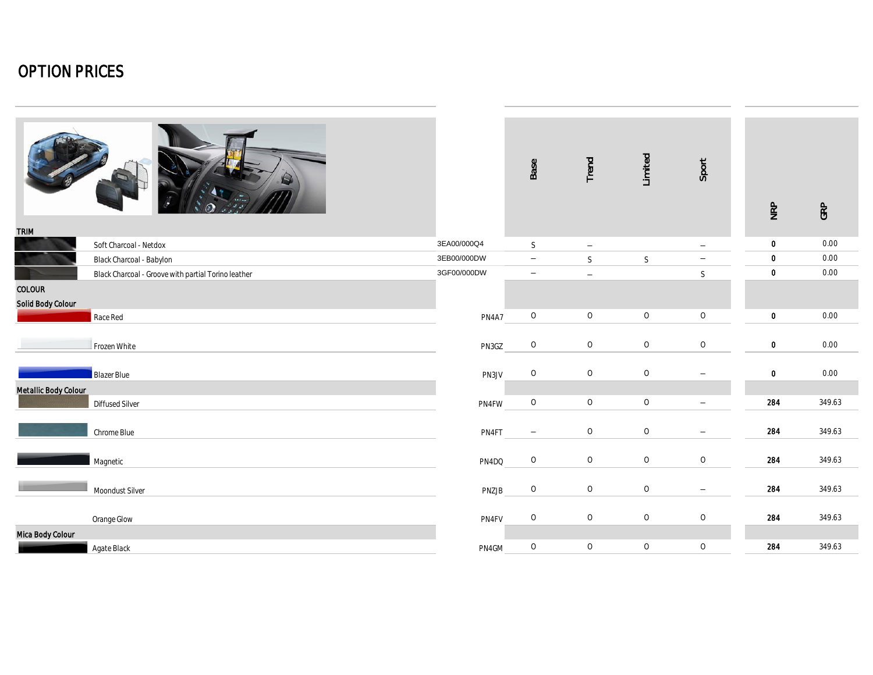| <b>TRIM</b>                 |                                                     |             | Base                                       | Trend                          | Limited               | Sport                                   | NRP                        | GRP              |
|-----------------------------|-----------------------------------------------------|-------------|--------------------------------------------|--------------------------------|-----------------------|-----------------------------------------|----------------------------|------------------|
|                             | Soft Charcoal - Netdox                              | 3EA00/000Q4 | $\mathsf S$                                | $\overline{\phantom{m}}$       |                       | $\overline{\phantom{m}}$                | $\mathbf 0$                | 0.00             |
|                             | Black Charcoal - Babylon                            | 3EB00/000DW | $\overline{\phantom{m}}$                   | $\mathsf S$                    | $\mathsf S$           | $\overline{\phantom{m}}$                | $\mathbf 0$                | 0.00             |
|                             | Black Charcoal - Groove with partial Torino leather | 3GF00/000DW | $\overline{\phantom{m}}$                   | $\overline{\phantom{m}}$       |                       | $\mathsf S$                             | $\mathbf 0$                | 0.00             |
| COLOUR<br>Solid Body Colour |                                                     |             |                                            |                                |                       |                                         |                            |                  |
|                             | Race Red                                            | PN4A7       | $\circ$                                    | $\circ$                        | $\circ$               | $\circ$                                 | $\mathbf 0$                | 0.00             |
|                             | Frozen White                                        | PN3GZ       | $\circlearrowright$<br>$\circlearrowright$ | $\circlearrowright$<br>$\circ$ | $\bigcirc$<br>$\circ$ | $\mathsf O$<br>$\overline{\phantom{m}}$ | $\mathbf 0$<br>$\mathbf 0$ | $0.00\,$<br>0.00 |
|                             | Blazer Blue                                         | PN3JV       |                                            |                                |                       |                                         |                            |                  |
| Metallic Body Colour        | Diffused Silver                                     | PN4FW       | $\bigcirc$                                 | $\circlearrowright$            | $\circlearrowright$   | $\overline{\phantom{m}}$                | 284                        | 349.63           |
|                             | Chrome Blue                                         | PN4FT       | $\overline{\phantom{m}}$                   | $\circ$                        | $\circ$               | $\qquad \qquad -$                       | 284                        | 349.63           |
|                             | Magnetic                                            | PN4DQ       | $\circlearrowright$                        | $\circ$                        | $\circlearrowright$   | $\circ$                                 | 284                        | 349.63           |
|                             | Moondust Silver                                     | PNZJB       | $\circlearrowright$                        | $\circ$                        | $\circ$               | $\overline{\phantom{a}}$                | 284                        | 349.63           |
|                             | Orange Glow                                         | PN4FV       | $\mathcal O$                               | $\circ$                        | $\circlearrowright$   | $\circ$                                 | 284                        | 349.63           |
| Mica Body Colour            |                                                     |             |                                            |                                |                       |                                         |                            |                  |
|                             | Agate Black                                         | PN4GM       | $\circlearrowright$                        | $\circlearrowright$            | $\circlearrowright$   | $\mathsf O$                             | 284                        | 349.63           |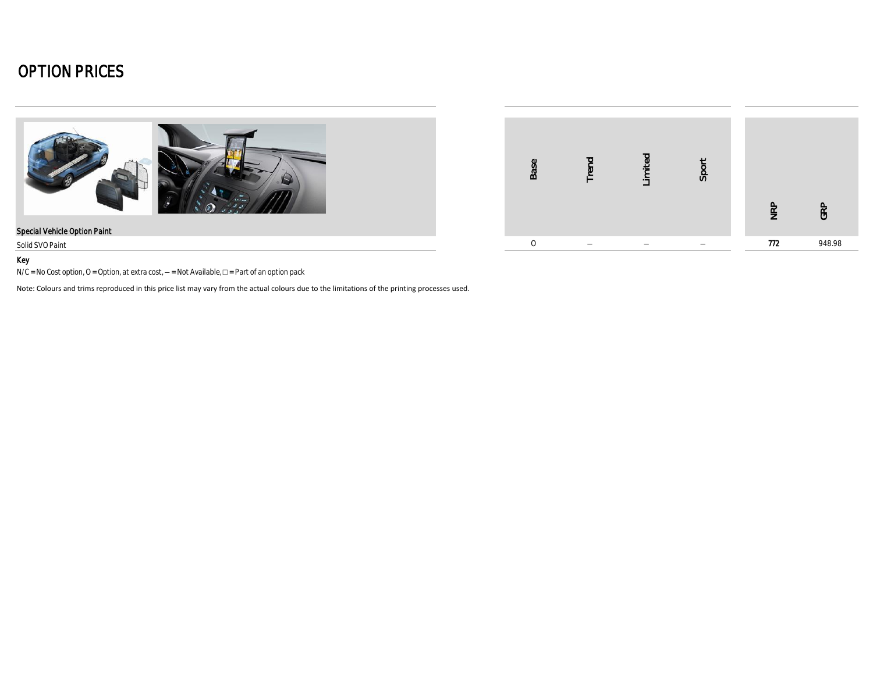



#### Key

N/C = No Cost option, O = Option, at extra cost, - = Not Available, □ = Part of an option pack

Note: Colours and trims reproduced in this price list may vary from the actual colours due to the limitations of the printing processes used.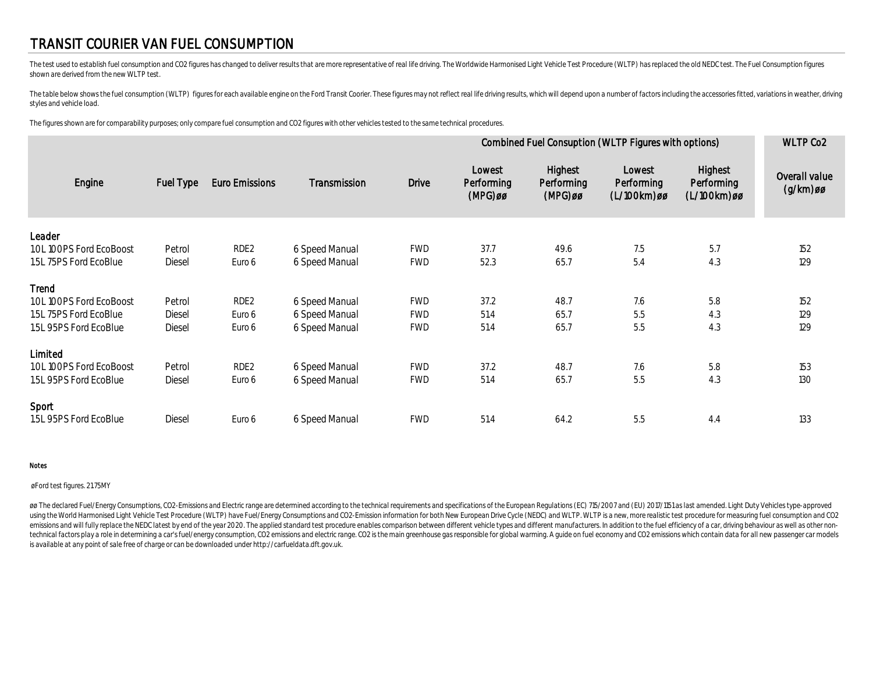### TRANSIT COURIER VAN FUEL CONSUMPTION

The test used to establish fuel consumption and CO2 figures has changed to deliver results that are more representative of real life driving. The Worldwide Harmonised Light Vehicle Test Procedure (WLTP) has replaced the ol shown are derived from the new WLTP test.

The table below shows the fuel consumption (WLTP) figures for each available engine on the Ford Transit Coorier. These figures may not reflect real life driving results, which will depend upon a number of factors including styles and vehicle load.

The figures shown are for comparability purposes; only compare fuel consumption and CO2 figures with other vehicles tested to the same technical procedures.

|                         |           |                  |                |              | Combined Fuel Consuption (WLTP Figures with options) | <b>WLTP Co2</b>                  |                                     |                                      |                              |
|-------------------------|-----------|------------------|----------------|--------------|------------------------------------------------------|----------------------------------|-------------------------------------|--------------------------------------|------------------------------|
| Engine                  | Fuel Type | Euro Emissions   | Transmission   | <b>Drive</b> | Lowest<br>Performing<br>$(MPG)$ øø                   | Highest<br>Performing<br>(MPG)øø | Lowest<br>Performing<br>(L/100km)øø | Highest<br>Performing<br>(L/100km)øø | Overall value<br>$(g/km)$ øø |
| Leader                  |           |                  |                |              |                                                      |                                  |                                     |                                      |                              |
| 1.0L100PS Ford EcoBoost | Petrol    | RDE <sub>2</sub> | 6 Speed Manual | <b>FWD</b>   | 37.7                                                 | 49.6                             | 7.5                                 | 5.7                                  | 152                          |
| 1.5L 75PS Ford EcoBlue  | Diesel    | Euro 6           | 6 Speed Manual | <b>FWD</b>   | 52.3                                                 | 65.7                             | 5.4                                 | 4.3                                  | 129                          |
| Trend                   |           |                  |                |              |                                                      |                                  |                                     |                                      |                              |
| 1.0L100PS Ford EcoBoost | Petrol    | RDE <sub>2</sub> | 6 Speed Manual | <b>FWD</b>   | 37.2                                                 | 48.7                             | 7.6                                 | 5.8                                  | 152                          |
| 1.5L 75PS Ford EcoBlue  | Diesel    | Euro 6           | 6 Speed Manual | <b>FWD</b>   | 51.4                                                 | 65.7                             | 5.5                                 | 4.3                                  | 129                          |
| 1.5L 95PS Ford EcoBlue  | Diesel    | Euro 6           | 6 Speed Manual | <b>FWD</b>   | 51.4                                                 | 65.7                             | 5.5                                 | 4.3                                  | 129                          |
| Limited                 |           |                  |                |              |                                                      |                                  |                                     |                                      |                              |
| 1.0L100PS Ford EcoBoost | Petrol    | RDE <sub>2</sub> | 6 Speed Manual | <b>FWD</b>   | 37.2                                                 | 48.7                             | 7.6                                 | 5.8                                  | 153                          |
| 1.5L 95PS Ford EcoBlue  | Diesel    | Euro 6           | 6 Speed Manual | <b>FWD</b>   | 51.4                                                 | 65.7                             | 5.5                                 | 4.3                                  | 130                          |
| Sport                   |           |                  |                |              |                                                      |                                  |                                     |                                      |                              |
| 1.5L 95PS Ford EcoBlue  | Diesel    | Euro 6           | 6 Speed Manual | <b>FWD</b>   | 51.4                                                 | 64.2                             | 5.5                                 | 4.4                                  | 133                          |

#### Notes

#### øFord test figures. 21.75MY

øø The declared Fuel/Energy Consumptions, CO2-Emissions and Electric range are determined according to the technical requirements and specifications of the European Requlations (EC) 715/2007 and (EU) 2017/1151 as last amen using the World Harmonised Light Vehicle Test Procedure (WLTP) have Fuel/Energy Consumptions and CO2-Emission information for both New European Drive Cycle (NEDC) and WLTP. WLTP is a new, more realistic test procedure for emissions and will fully replace the NEDC latest by end of the year 2020. The applied standard test procedure enables comparison between different vehicle types and different manufacturers. In addition to the fuel efficien technical factors play a role in determining a car's fuel/energy consumption, CO2 emissions and electric range. CO2 is the main greenhouse gas responsible for global warming. A guide on fuel economy and CO2 emissions which is available at any point of sale free of charge or can be downloaded under http://carfueldata.dft.gov.uk.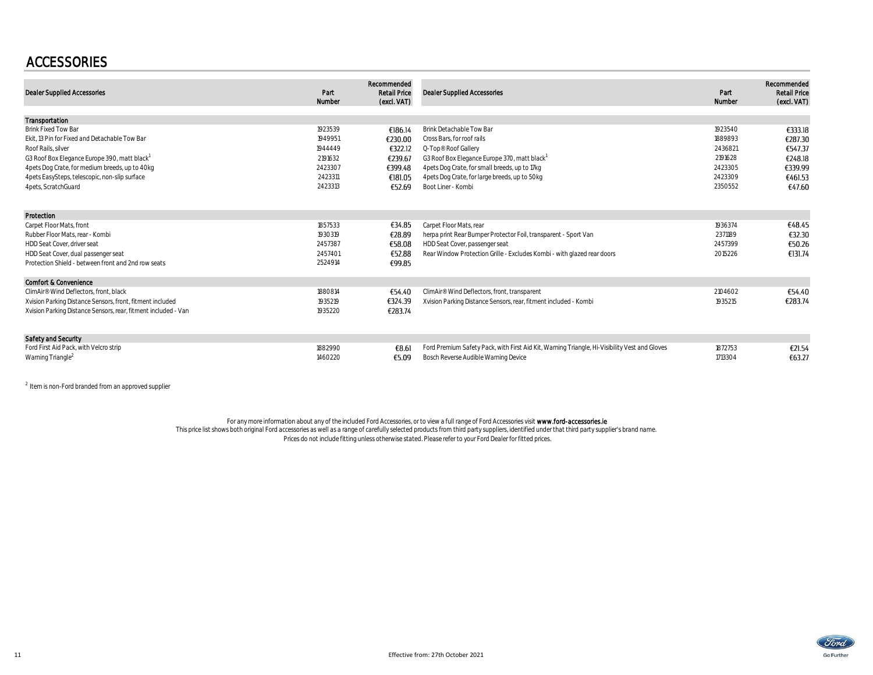### ACCESSORIES

| <b>Dealer Supplied Accessories</b>                             | Part<br>Number | Recommended<br><b>Retail Price</b><br>(excl. VAT) | <b>Dealer Supplied Accessories</b>                                                            | Part<br>Number | Recommended<br><b>Retail Price</b><br>(excl. VAT) |
|----------------------------------------------------------------|----------------|---------------------------------------------------|-----------------------------------------------------------------------------------------------|----------------|---------------------------------------------------|
| Transportation                                                 |                |                                                   |                                                                                               |                |                                                   |
| <b>Brink Fixed Tow Bar</b>                                     | 1923539        | €186.14                                           | Brink Detachable Tow Bar                                                                      | 1923540        | €333.18                                           |
| Ekit. 13 Pin for Fixed and Detachable Tow Bar                  | 1949951        | €230.00                                           | Cross Bars, for roof rails                                                                    | 1889893        | €287.30                                           |
| Roof Rails, silver                                             | 1944449        | €322.12                                           | Q-Top® Roof Gallery                                                                           | 2436821        | €547.37                                           |
| G3 Roof Box Elegance Europe 390, matt black <sup>1</sup>       | 2191632        | €239.67                                           | G3 Roof Box Elegance Europe 370, matt black                                                   | 2191628        | €248.18                                           |
| 4 pets Dog Crate, for medium breeds, up to 40 kg               | 2423307        | €399.48                                           | 4 pets Dog Crate, for small breeds, up to 17kg                                                | 2423305        | €339.99                                           |
| 4 pets EasySteps, telescopic, non-slip surface                 | 2423311        | €181.05                                           | 4 pets Dog Crate, for large breeds, up to 50kg                                                | 2423309        | €461.53                                           |
| 4 pets, ScratchGuard                                           | 2423313        | €52.69                                            | Boot Liner - Kombi                                                                            | 2350552        | €47.60                                            |
| Protection                                                     |                |                                                   |                                                                                               |                |                                                   |
| Carpet Floor Mats, front                                       | 1857533        | €34.85                                            | Carpet Floor Mats, rear                                                                       | 1936374        | €48.45                                            |
| Rubber Floor Mats, rear - Kombi                                | 1930319        | €28.89                                            | herpa print Rear Bumper Protector Foil, transparent - Sport Van                               | 2371189        | €32.30                                            |
| HDD Seat Cover, driver seat                                    | 2457387        | €58.08                                            | HDD Seat Cover, passenger seat                                                                | 2457399        | €50.26                                            |
| HDD Seat Cover, dual passenger seat                            | 2457401        | €52.88                                            | Rear Window Protection Grille - Excludes Kombi - with glazed rear doors                       | 2015226        | €131.74                                           |
| Protection Shield - between front and 2nd row seats            | 2524914        | €99.85                                            |                                                                                               |                |                                                   |
| <b>Comfort &amp; Convenience</b>                               |                |                                                   |                                                                                               |                |                                                   |
| ClimAir <sup>®</sup> Wind Deflectors, front, black             | 1880814        | €54.40                                            | ClimAir® Wind Deflectors, front, transparent                                                  | 2104602        | €54.40                                            |
| Xvision Parking Distance Sensors, front, fitment included      | 1935219        | €324.39                                           | Xvision Parking Distance Sensors, rear, fitment included - Kombi                              | 1935215        | €283.74                                           |
| Xvision Parking Distance Sensors, rear, fitment included - Van | 1935220        | €283.74                                           |                                                                                               |                |                                                   |
| Safety and Security                                            |                |                                                   |                                                                                               |                |                                                   |
| Ford First Aid Pack, with Velcro strip                         | 1882990        | €8.61                                             | Ford Premium Safety Pack, with First Aid Kit, Warning Triangle, Hi-Visibility Vest and Gloves | 1872753        | €21.54                                            |
| Warning Triangle <sup>2</sup>                                  | 1460220        | €5.09                                             | Bosch Reverse Audible Warning Device                                                          | 1713304        | €63.27                                            |

 $^{2}$  Item is non-Ford branded from an approved supplier

For any more information about any of the included Ford Accessories, or to view a full range of Ford Accessories visit www.ford-acc**essories.le**<br>This price list shows both original Ford accessories as well as a range of ca Prices do not include fitting unless otherwise stated. Please refer to your Ford Dealer for fitted prices.